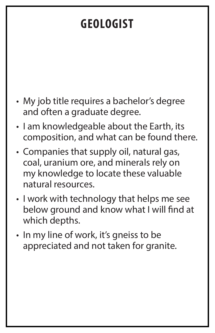## **GEOLOGIST**

- My job title requires a bachelor's degree and often a graduate degree.
- I am knowledgeable about the Earth, its composition, and what can be found there.
- Companies that supply oil, natural gas, coal, uranium ore, and minerals rely on my knowledge to locate these valuable natural resources.
- I work with technology that helps me see below ground and know what I will find at which depths.
- In my line of work, it's gneiss to be

### appreciated and not taken for granite.

- 
- - -
-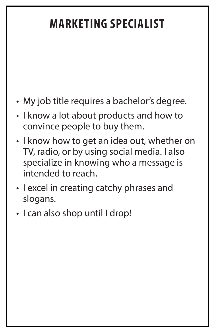# **MARKETING SPECIALIST**

- My job title requires a bachelor's degree.
- I know a lot about products and how to convince people to buy them.
- I know how to get an idea out, whether on TV, radio, or by using social media. I also specialize in knowing who a message is intended to reach.
- I excel in creating catchy phrases and slogans.
- I can also shop until I drop!

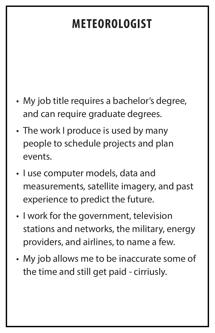## **METEOROLOGIST**

- My job title requires a bachelor's degree, and can require graduate degrees.
- The work I produce is used by many people to schedule projects and plan events.
- I use computer models, data and measurements, satellite imagery, and past experience to predict the future.
- I work for the government, television stations and networks, the military, energy providers, and airlines, to name a few.

My job allows me to be inaccurate some of the time and still get paid - cirriusly.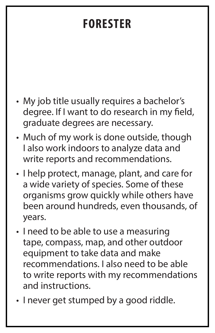## **FORESTER**

- My job title usually requires a bachelor's degree. If I want to do research in my field, graduate degrees are necessary.
- Much of my work is done outside, though I also work indoors to analyze data and write reports and recommendations.
- I help protect, manage, plant, and care for a wide variety of species. Some of these organisms grow quickly while others have been around hundreds, even thousands, of years.
- I need to be able to use a measuring tape, compass, map, and other outdoor

equipment to take data and make recommendations. I also need to be able to write reports with my recommendations and instructions.

• I never get stumped by a good riddle.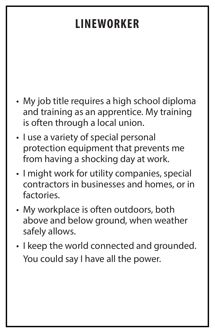## **LINEWORKER**

- My job title requires a high school diploma and training as an apprentice. My training is often through a local union.
- I use a variety of special personal protection equipment that prevents me from having a shocking day at work.
- I might work for utility companies, special contractors in businesses and homes, or in factories.
- My workplace is often outdoors, both above and below ground, when weather safely allows.
- I keep the world connected and grounded. You could say I have all the power.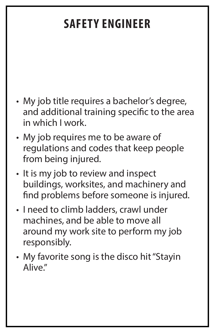# **SAFETY ENGINEER**

- My job title requires a bachelor's degree, and additional training specific to the area in which I work.
- My job requires me to be aware of regulations and codes that keep people from being injured.
- It is my job to review and inspect buildings, worksites, and machinery and find problems before someone is injured.
- I need to climb ladders, crawl under machines, and be able to move all around my work site to perform my job responsibly.

• My favorite song is the disco hit "Stayin Alive."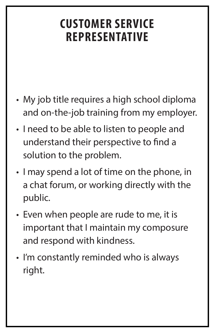## **CUSTOMER SERVICE REPRESENTATIVE**

- My job title requires a high school diploma and on-the-job training from my employer.
- I need to be able to listen to people and understand their perspective to find a solution to the problem.
- I may spend a lot of time on the phone, in a chat forum, or working directly with the public.
- Even when people are rude to me, it is important that I maintain my composure and respond with kindness.

## • I'm constantly reminded who is always

### right.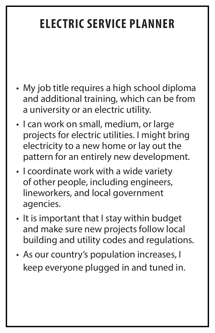# **ELECTRIC SERVICE PLANNER**

- My job title requires a high school diploma and additional training, which can be from a university or an electric utility.
- I can work on small, medium, or large projects for electric utilities. I might bring electricity to a new home or lay out the pattern for an entirely new development.
- I coordinate work with a wide variety of other people, including engineers, lineworkers, and local government agencies.
- It is important that I stay within budget and make sure new projects follow local building and utility codes and regulations.
- As our country's population increases, I
	- keep everyone plugged in and tuned in.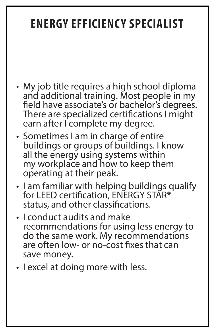## **ENERGY EFFICIENCY SPECIALIST**

- My job title requires a high school diploma and additional training. Most people in my field have associate's or bachelor's degrees. There are specialized certifications I might earn after I complete my degree.
- Sometimes I am in charge of entire buildings or groups of buildings. I know all the energy using systems within my workplace and how to keep them operating at their peak.
- I am familiar with helping buildings qualify for LEED certification, ENERGY STAR<sup>®</sup> status, and other classifications.
- I conduct audits and make recommendations for using less energy to do the same work. My recommendations are often low- or no-cost fixes that can

# save money.

• I excel at doing more with less.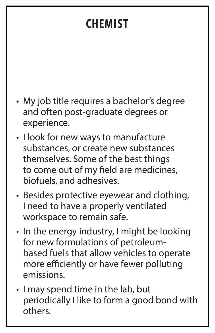## **CHEMIST**

- My job title requires a bachelor's degree and often post-graduate degrees or experience.
- I look for new ways to manufacture substances, or create new substances themselves. Some of the best things to come out of my field are medicines, biofuels, and adhesives.
- Besides protective eyewear and clothing, I need to have a properly ventilated workspace to remain safe.
- In the energy industry, I might be looking for new formulations of petroleum-

based fuels that allow vehicles to operate more efficiently or have fewer polluting emissions.

• I may spend time in the lab, but periodically I like to form a good bond with others.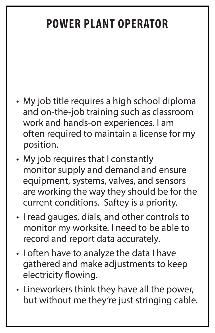## **POWER PLANT OPERATOR**

- My job title requires a high school diploma and on-the-job training such as classroom work and hands-on experiences. I am often required to maintain a license for my position.
- My job requires that I constantly monitor supply and demand and ensure equipment, systems, valves, and sensors are working the way they should be for the current conditions. Saftey is a priority.
- I read gauges, dials, and other controls to monitor my worksite. I need to be able to record and report data accurately.
- I often have to analyze the data I have gathered and make adjustments to keep electricity flowing.
- Lineworkers think they have all the power, but without me they're just stringing cable.